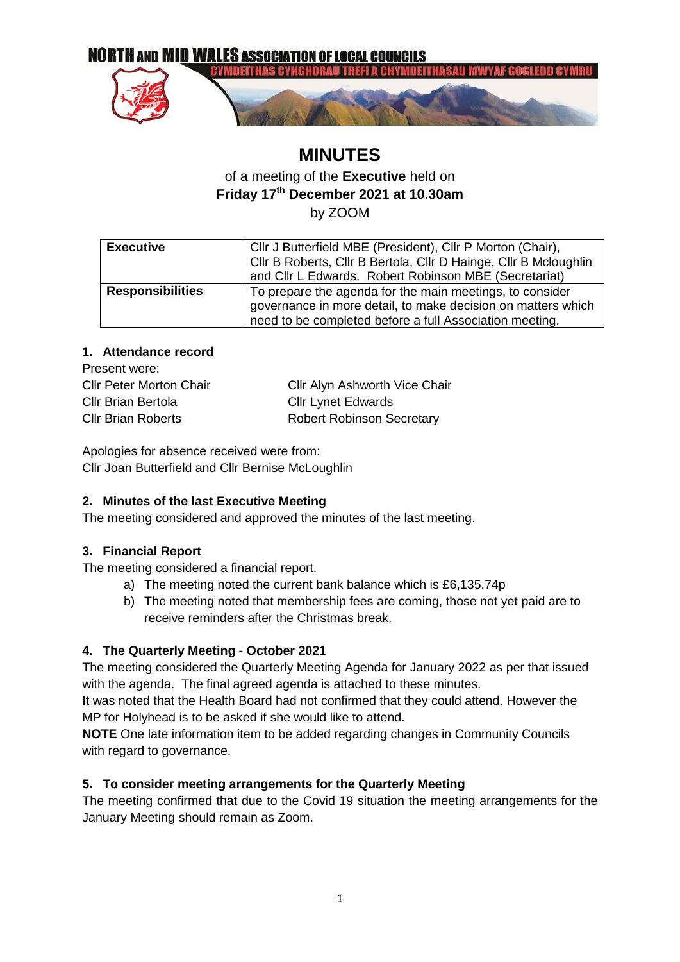

# **MINUTES**

# of a meeting of the **Executive** held on **Friday 17th December 2021 at 10.30am** by ZOOM

| <b>Executive</b>        | Cllr J Butterfield MBE (President), Cllr P Morton (Chair),       |  |
|-------------------------|------------------------------------------------------------------|--|
|                         | Cllr B Roberts, Cllr B Bertola, Cllr D Hainge, Cllr B Mcloughlin |  |
|                         | and Cllr L Edwards. Robert Robinson MBE (Secretariat)            |  |
| <b>Responsibilities</b> | To prepare the agenda for the main meetings, to consider         |  |
|                         | governance in more detail, to make decision on matters which     |  |
|                         | need to be completed before a full Association meeting.          |  |

#### **1. Attendance record**

| Present were:                  |                                      |
|--------------------------------|--------------------------------------|
| <b>Cllr Peter Morton Chair</b> | <b>Cllr Alyn Ashworth Vice Chair</b> |
| <b>Cllr Brian Bertola</b>      | <b>Cllr Lynet Edwards</b>            |
| <b>Cllr Brian Roberts</b>      | <b>Robert Robinson Secretary</b>     |

Apologies for absence received were from: Cllr Joan Butterfield and Cllr Bernise McLoughlin

## **2. Minutes of the last Executive Meeting**

The meeting considered and approved the minutes of the last meeting.

#### **3. Financial Report**

The meeting considered a financial report.

- a) The meeting noted the current bank balance which is £6,135.74p
- b) The meeting noted that membership fees are coming, those not yet paid are to receive reminders after the Christmas break.

## **4. The Quarterly Meeting - October 2021**

The meeting considered the Quarterly Meeting Agenda for January 2022 as per that issued with the agenda. The final agreed agenda is attached to these minutes.

It was noted that the Health Board had not confirmed that they could attend. However the MP for Holyhead is to be asked if she would like to attend.

**NOTE** One late information item to be added regarding changes in Community Councils with regard to governance.

## **5. To consider meeting arrangements for the Quarterly Meeting**

The meeting confirmed that due to the Covid 19 situation the meeting arrangements for the January Meeting should remain as Zoom.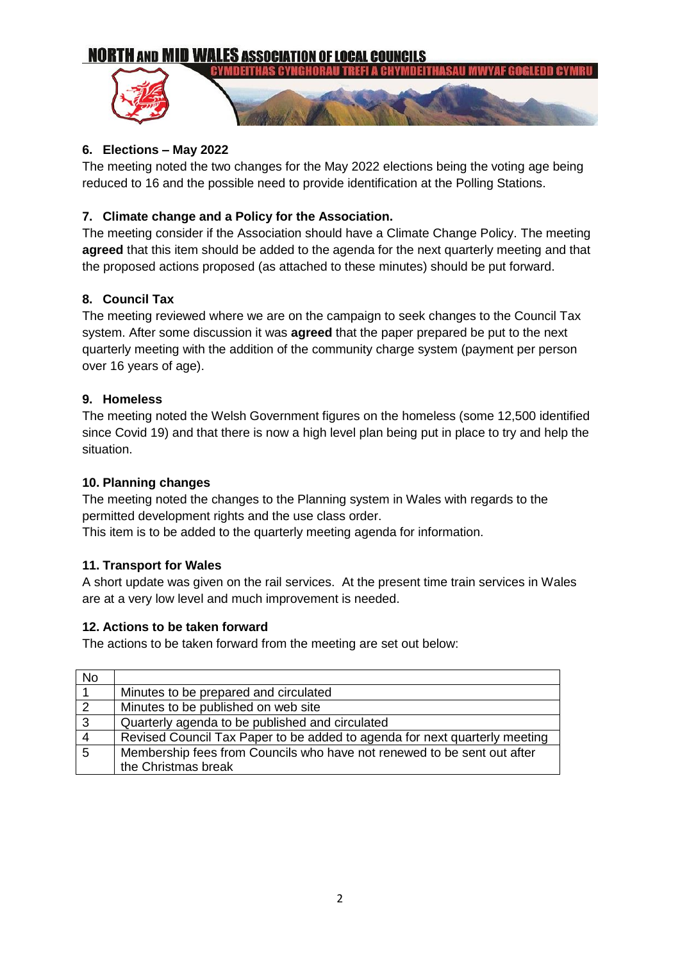# **NORTH AND MID WALES ASSOCIATION OF LOCAL COUNCILS**



#### **6. Elections – May 2022**

The meeting noted the two changes for the May 2022 elections being the voting age being reduced to 16 and the possible need to provide identification at the Polling Stations.

#### **7. Climate change and a Policy for the Association.**

The meeting consider if the Association should have a Climate Change Policy. The meeting **agreed** that this item should be added to the agenda for the next quarterly meeting and that the proposed actions proposed (as attached to these minutes) should be put forward.

#### **8. Council Tax**

The meeting reviewed where we are on the campaign to seek changes to the Council Tax system. After some discussion it was **agreed** that the paper prepared be put to the next quarterly meeting with the addition of the community charge system (payment per person over 16 years of age).

#### **9. Homeless**

The meeting noted the Welsh Government figures on the homeless (some 12,500 identified since Covid 19) and that there is now a high level plan being put in place to try and help the situation.

#### **10. Planning changes**

The meeting noted the changes to the Planning system in Wales with regards to the permitted development rights and the use class order.

This item is to be added to the quarterly meeting agenda for information.

#### **11. Transport for Wales**

A short update was given on the rail services. At the present time train services in Wales are at a very low level and much improvement is needed.

#### **12. Actions to be taken forward**

The actions to be taken forward from the meeting are set out below:

| <b>No</b>      |                                                                            |
|----------------|----------------------------------------------------------------------------|
|                | Minutes to be prepared and circulated                                      |
| $\overline{2}$ | Minutes to be published on web site                                        |
| $\overline{3}$ | Quarterly agenda to be published and circulated                            |
| $\overline{4}$ | Revised Council Tax Paper to be added to agenda for next quarterly meeting |
| $\overline{5}$ | Membership fees from Councils who have not renewed to be sent out after    |
|                | the Christmas break                                                        |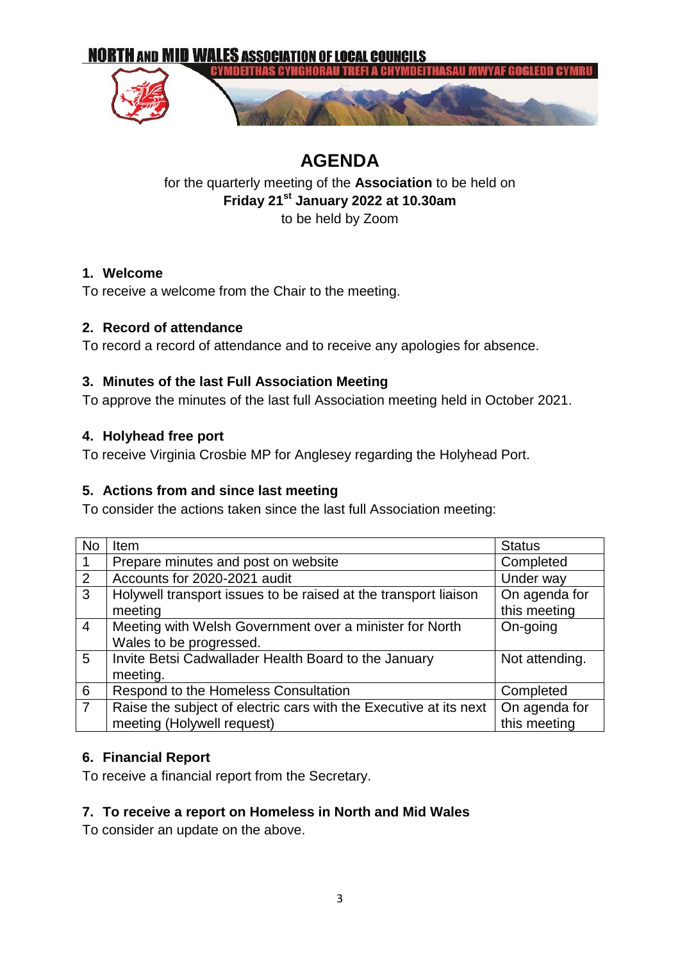

# **AGENDA**

for the quarterly meeting of the **Association** to be held on **Friday 21st January 2022 at 10.30am**

to be held by Zoom

# **1. Welcome**

To receive a welcome from the Chair to the meeting.

# **2. Record of attendance**

To record a record of attendance and to receive any apologies for absence.

# **3. Minutes of the last Full Association Meeting**

To approve the minutes of the last full Association meeting held in October 2021.

# **4. Holyhead free port**

To receive Virginia Crosbie MP for Anglesey regarding the Holyhead Port.

# **5. Actions from and since last meeting**

To consider the actions taken since the last full Association meeting:

| <b>No</b>      | Item                                                              | <b>Status</b>  |
|----------------|-------------------------------------------------------------------|----------------|
| $\mathbf{1}$   | Prepare minutes and post on website                               | Completed      |
| 2              | Accounts for 2020-2021 audit                                      | Under way      |
| $\overline{3}$ | Holywell transport issues to be raised at the transport liaison   | On agenda for  |
|                | meeting                                                           | this meeting   |
| $\overline{4}$ | Meeting with Welsh Government over a minister for North           | On-going       |
|                | Wales to be progressed.                                           |                |
| 5              | Invite Betsi Cadwallader Health Board to the January              | Not attending. |
|                | meeting.                                                          |                |
| $6\phantom{1}$ | Respond to the Homeless Consultation                              | Completed      |
| $\overline{7}$ | Raise the subject of electric cars with the Executive at its next | On agenda for  |
|                | meeting (Holywell request)                                        | this meeting   |

# **6. Financial Report**

To receive a financial report from the Secretary.

# **7. To receive a report on Homeless in North and Mid Wales**

To consider an update on the above.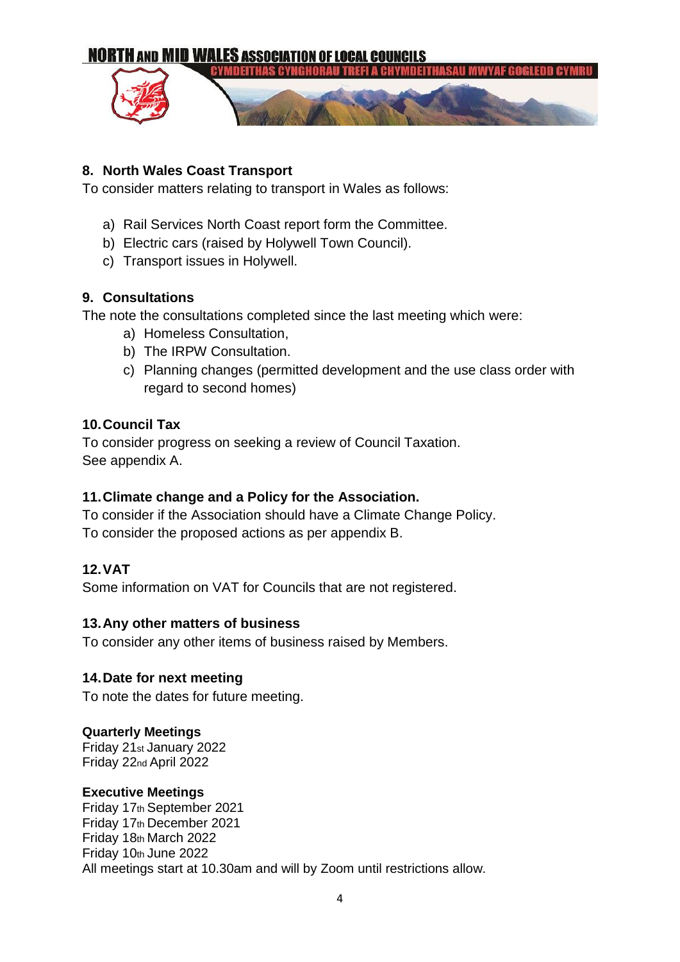

# **8. North Wales Coast Transport**

To consider matters relating to transport in Wales as follows:

- a) Rail Services North Coast report form the Committee.
- b) Electric cars (raised by Holywell Town Council).
- c) Transport issues in Holywell.

# **9. Consultations**

The note the consultations completed since the last meeting which were:

- a) Homeless Consultation,
- b) The IRPW Consultation.
- c) Planning changes (permitted development and the use class order with regard to second homes)

#### **10.Council Tax**

To consider progress on seeking a review of Council Taxation. See appendix A.

## **11.Climate change and a Policy for the Association.**

To consider if the Association should have a Climate Change Policy. To consider the proposed actions as per appendix B.

## **12.VAT**

Some information on VAT for Councils that are not registered.

#### **13.Any other matters of business**

To consider any other items of business raised by Members.

#### **14.Date for next meeting**

To note the dates for future meeting.

#### **Quarterly Meetings**

Friday 21st January 2022 Friday 22nd April 2022

#### **Executive Meetings**

Friday 17th September 2021 Friday 17th December 2021 Friday 18th March 2022 Friday 10th June 2022 All meetings start at 10.30am and will by Zoom until restrictions allow.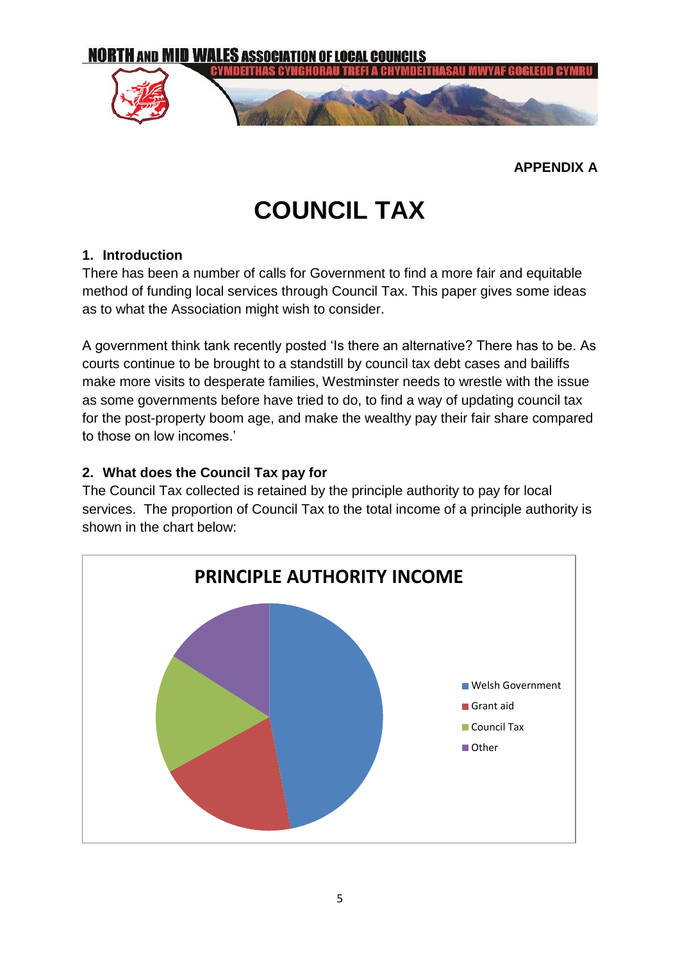

**APPENDIX A**

# **COUNCIL TAX**

# **1. Introduction**

There has been a number of calls for Government to find a more fair and equitable method of funding local services through Council Tax. This paper gives some ideas as to what the Association might wish to consider.

A government think tank recently posted 'Is there an alternative? There has to be. As courts continue to be brought to a standstill by council tax debt cases and bailiffs make more visits to desperate families, Westminster needs to wrestle with the issue as some governments before have tried to do, to find a way of updating council tax for the post-property boom age, and make the wealthy pay their fair share compared to those on low incomes.'

# **2. What does the Council Tax pay for**

The Council Tax collected is retained by the principle authority to pay for local services. The proportion of Council Tax to the total income of a principle authority is shown in the chart below:

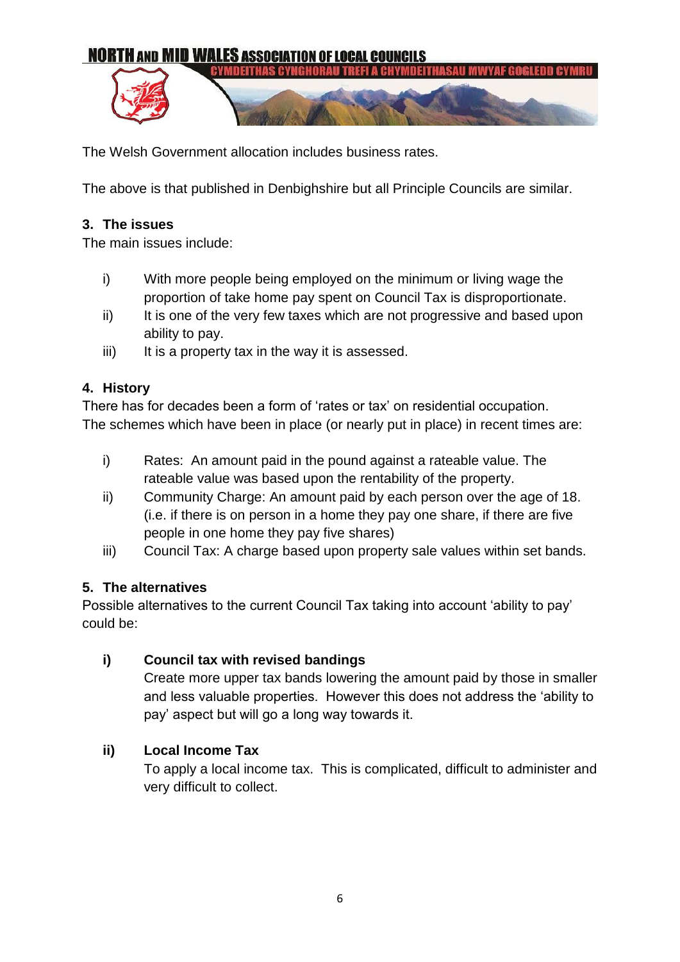

The Welsh Government allocation includes business rates.

The above is that published in Denbighshire but all Principle Councils are similar.

# **3. The issues**

The main issues include:

- i) With more people being employed on the minimum or living wage the proportion of take home pay spent on Council Tax is disproportionate.
- ii) It is one of the very few taxes which are not progressive and based upon ability to pay.
- $iii)$  It is a property tax in the way it is assessed.

# **4. History**

There has for decades been a form of 'rates or tax' on residential occupation. The schemes which have been in place (or nearly put in place) in recent times are:

- i) Rates: An amount paid in the pound against a rateable value. The rateable value was based upon the rentability of the property.
- ii) Community Charge: An amount paid by each person over the age of 18. (i.e. if there is on person in a home they pay one share, if there are five people in one home they pay five shares)
- iii) Council Tax: A charge based upon property sale values within set bands.

# **5. The alternatives**

Possible alternatives to the current Council Tax taking into account 'ability to pay' could be:

# **i) Council tax with revised bandings**

Create more upper tax bands lowering the amount paid by those in smaller and less valuable properties. However this does not address the 'ability to pay' aspect but will go a long way towards it.

# **ii) Local Income Tax**

To apply a local income tax. This is complicated, difficult to administer and very difficult to collect.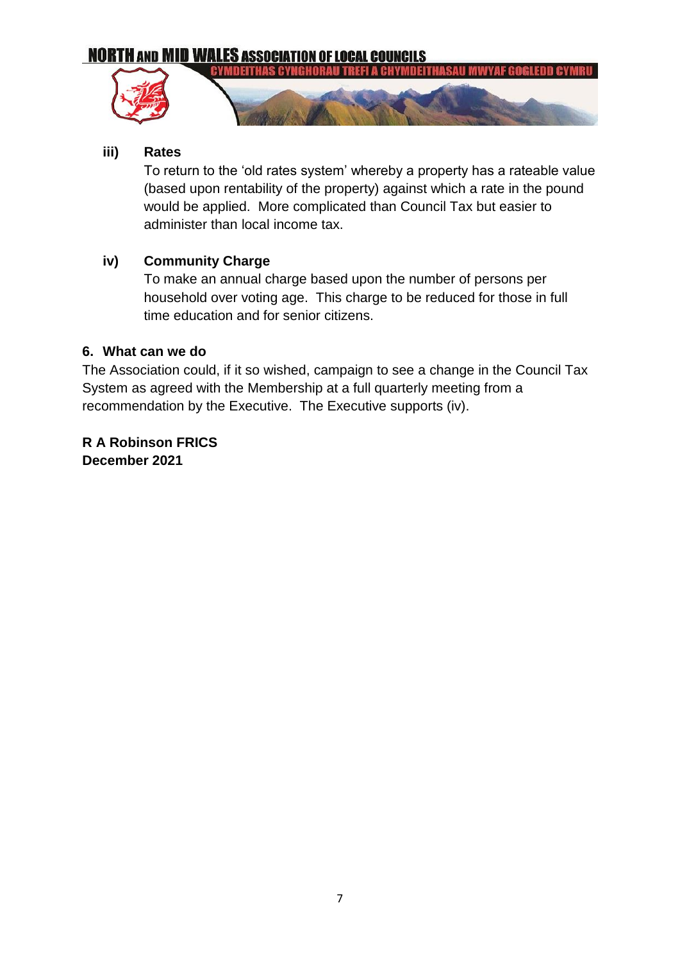# **NORTH AND MID WALES ASSOCIATION OF LOCAL COUNCILS**





## **iii) Rates**

To return to the 'old rates system' whereby a property has a rateable value (based upon rentability of the property) against which a rate in the pound would be applied. More complicated than Council Tax but easier to administer than local income tax.

# **iv) Community Charge**

To make an annual charge based upon the number of persons per household over voting age. This charge to be reduced for those in full time education and for senior citizens.

# **6. What can we do**

The Association could, if it so wished, campaign to see a change in the Council Tax System as agreed with the Membership at a full quarterly meeting from a recommendation by the Executive. The Executive supports (iv).

**R A Robinson FRICS December 2021**